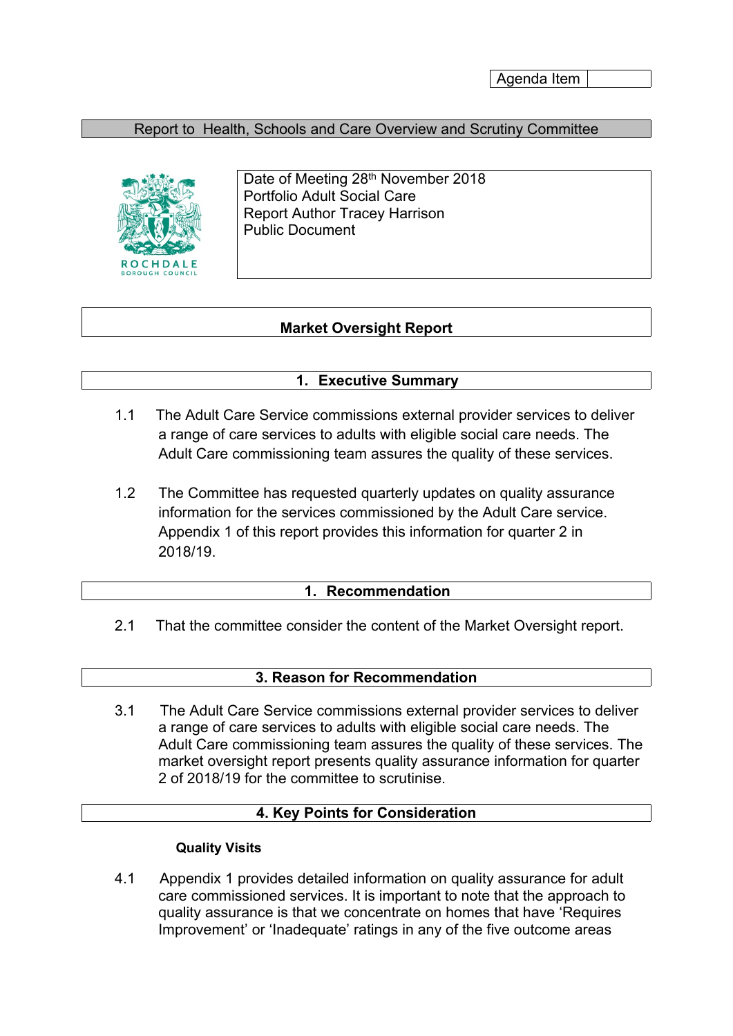Agenda Item

## Report to Health, Schools and Care Overview and Scrutiny Committee



Date of Meeting 28<sup>th</sup> November 2018 Portfolio Adult Social Care Report Author Tracey Harrison Public Document

# **Market Oversight Report**

## **1. Executive Summary**

- 1.1 The Adult Care Service commissions external provider services to deliver a range of care services to adults with eligible social care needs. The Adult Care commissioning team assures the quality of these services.
- 1.2 The Committee has requested quarterly updates on quality assurance information for the services commissioned by the Adult Care service. Appendix 1 of this report provides this information for quarter 2 in 2018/19.

#### **1. Recommendation**

2.1 That the committee consider the content of the Market Oversight report.

#### **3. Reason for Recommendation**

3.1 The Adult Care Service commissions external provider services to deliver a range of care services to adults with eligible social care needs. The Adult Care commissioning team assures the quality of these services. The market oversight report presents quality assurance information for quarter 2 of 2018/19 for the committee to scrutinise.

#### **4. Key Points for Consideration**

#### **Quality Visits**

4.1 Appendix 1 provides detailed information on quality assurance for adult care commissioned services. It is important to note that the approach to quality assurance is that we concentrate on homes that have 'Requires Improvement' or 'Inadequate' ratings in any of the five outcome areas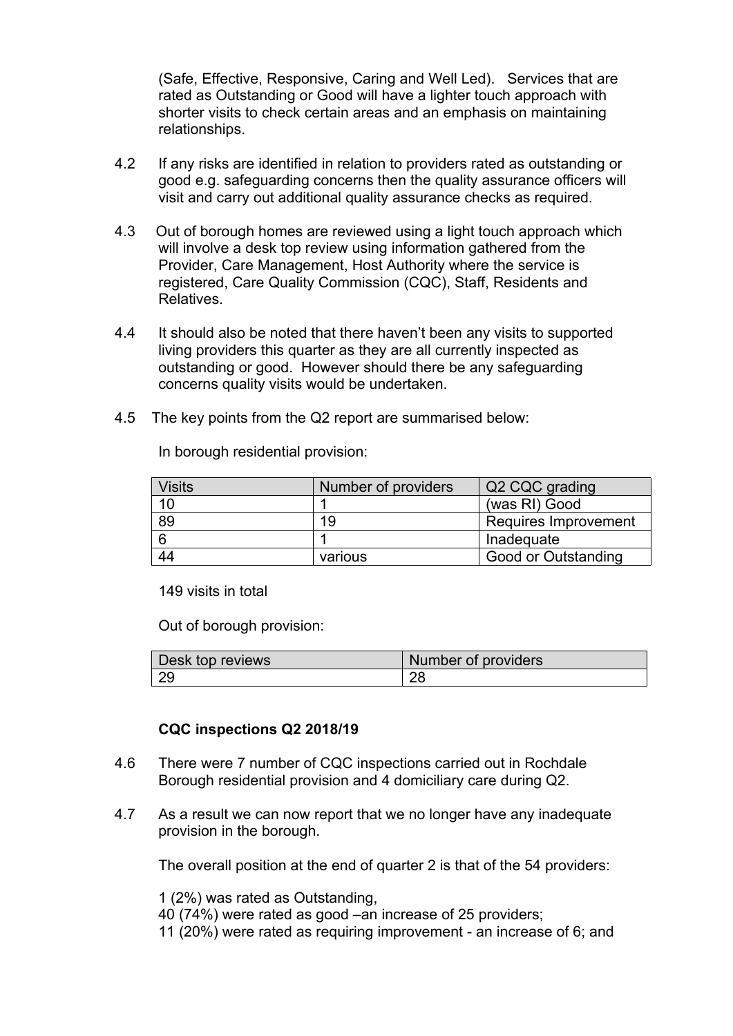(Safe, Effective, Responsive, Caring and Well Led). Services that are rated as Outstanding or Good will have a lighter touch approach with shorter visits to check certain areas and an emphasis on maintaining relationships.

- 4.2 If any risks are identified in relation to providers rated as outstanding or good e.g. safeguarding concerns then the quality assurance officers will visit and carry out additional quality assurance checks as required.
- 4.3 Out of borough homes are reviewed using a light touch approach which will involve a desk top review using information gathered from the Provider, Care Management, Host Authority where the service is registered, Care Quality Commission (CQC), Staff, Residents and Relatives.
- 4.4 It should also be noted that there haven't been any visits to supported living providers this quarter as they are all currently inspected as outstanding or good. However should there be any safeguarding concerns quality visits would be undertaken.
- 4.5 The key points from the Q2 report are summarised below:

| <b>Visits</b>   | Number of providers | Q2 CQC grading       |
|-----------------|---------------------|----------------------|
| 10              |                     | (was RI) Good        |
| $\overline{89}$ | 19                  | Requires Improvement |
| <u>ິ</u> 6      |                     | Inadequate           |
| 44              | various             | Good or Outstanding  |

In borough residential provision:

149 visits in total

Out of borough provision:

| Desk top reviews | Number of providers |
|------------------|---------------------|
| $\sim$           | ററ                  |

## **CQC inspections Q2 2018/19**

- 4.6 There were 7 number of CQC inspections carried out in Rochdale Borough residential provision and 4 domiciliary care during Q2.
- 4.7 As a result we can now report that we no longer have any inadequate provision in the borough.

The overall position at the end of quarter 2 is that of the 54 providers:

1 (2%) was rated as Outstanding,

40 (74%) were rated as good –an increase of 25 providers;

11 (20%) were rated as requiring improvement - an increase of 6; and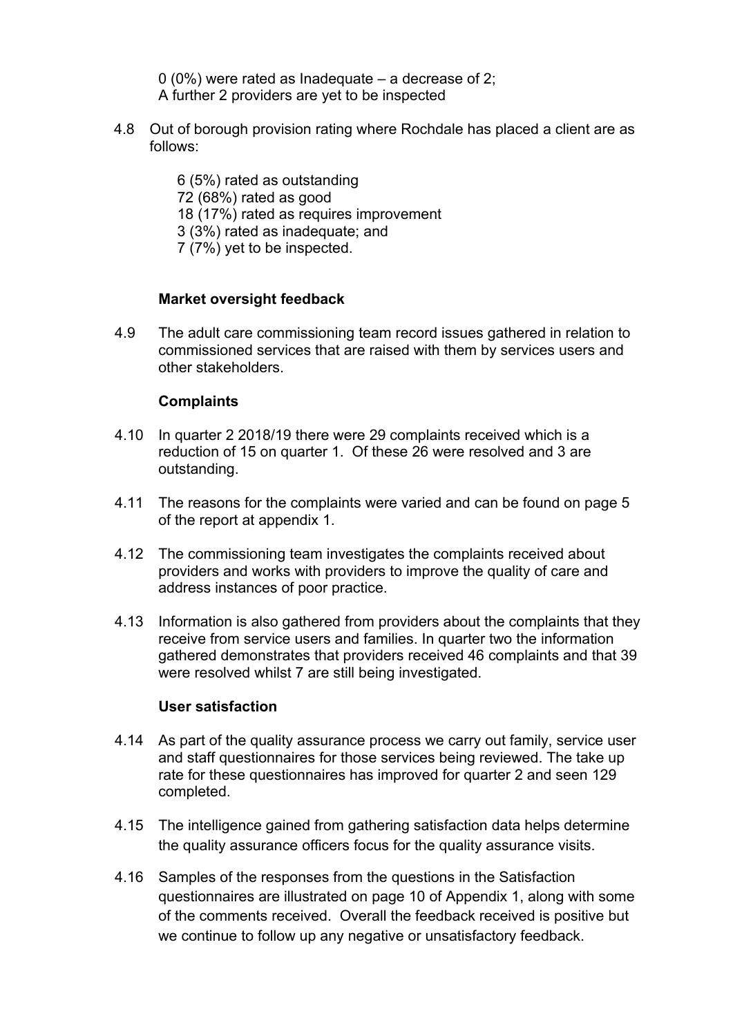0 (0%) were rated as Inadequate – a decrease of 2; A further 2 providers are yet to be inspected

4.8 Out of borough provision rating where Rochdale has placed a client are as follows:

> (5%) rated as outstanding (68%) rated as good (17%) rated as requires improvement (3%) rated as inadequate; and (7%) yet to be inspected.

# **Market oversight feedback**

4.9 The adult care commissioning team record issues gathered in relation to commissioned services that are raised with them by services users and other stakeholders.

# **Complaints**

- 4.10 In quarter 2 2018/19 there were 29 complaints received which is a reduction of 15 on quarter 1. Of these 26 were resolved and 3 are outstanding.
- 4.11 The reasons for the complaints were varied and can be found on page 5 of the report at appendix 1.
- 4.12 The commissioning team investigates the complaints received about providers and works with providers to improve the quality of care and address instances of poor practice.
- 4.13 Information is also gathered from providers about the complaints that they receive from service users and families. In quarter two the information gathered demonstrates that providers received 46 complaints and that 39 were resolved whilst 7 are still being investigated.

## **User satisfaction**

- 4.14 As part of the quality assurance process we carry out family, service user and staff questionnaires for those services being reviewed. The take up rate for these questionnaires has improved for quarter 2 and seen 129 completed.
- 4.15 The intelligence gained from gathering satisfaction data helps determine the quality assurance officers focus for the quality assurance visits.
- 4.16 Samples of the responses from the questions in the Satisfaction questionnaires are illustrated on page 10 of Appendix 1, along with some of the comments received. Overall the feedback received is positive but we continue to follow up any negative or unsatisfactory feedback.